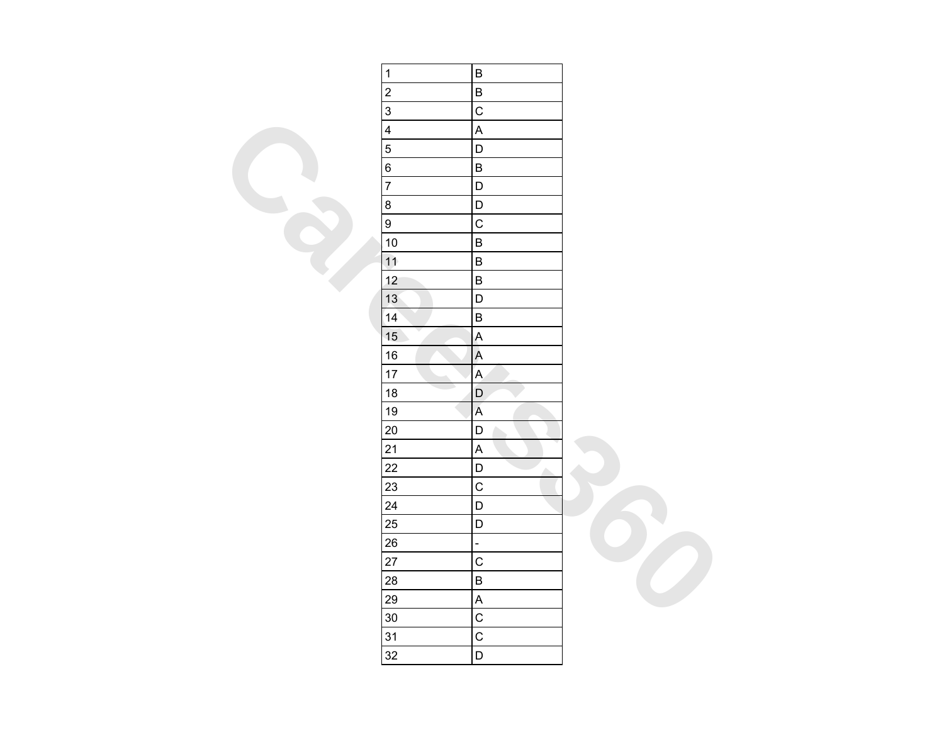| $\overline{1}$ | $\sf B$                   |  |
|----------------|---------------------------|--|
| $\overline{2}$ | $\sf B$                   |  |
| $\overline{3}$ | $\overline{C}$            |  |
| $\overline{4}$ | $\overline{\mathsf{A}}$   |  |
| $\overline{5}$ | D                         |  |
| $\overline{6}$ | $\sf B$                   |  |
| $\overline{7}$ | $\mathsf D$               |  |
| $\bf 8$        | $\mathsf D$               |  |
| $\overline{9}$ | $\overline{C}$            |  |
| 10             | $\sf B$                   |  |
| 11             | $\sf B$                   |  |
| 12             | $\sf B$                   |  |
| 13             | D                         |  |
| 14             | $\sf B$                   |  |
| 15             | $\mathsf{A}$              |  |
| 16             | $\overline{A}$            |  |
| 17             | $\overline{\mathsf{A}}$   |  |
| 18             | $\mathsf D$<br>TD.        |  |
| 19             | $\overline{\mathsf{A}}$   |  |
| 20             | $\mathsf D$               |  |
| 21             | $\boldsymbol{\mathsf{A}}$ |  |
| 22             | D<br>۸                    |  |
| 23             | $\mathsf{C}$              |  |
| 24             | $\mathsf D$               |  |
| 25             | $\mathsf D$               |  |
| 26             | $\frac{1}{\sqrt{2}}$      |  |
| 27             | $\overline{C}$            |  |
| 28             | $\sf B$                   |  |
| 29             | $\boldsymbol{\mathsf{A}}$ |  |
| $30\,$         | $\overline{C}$            |  |
| 31             | $\mathsf{C}$              |  |
| 32             | $\mathsf D$               |  |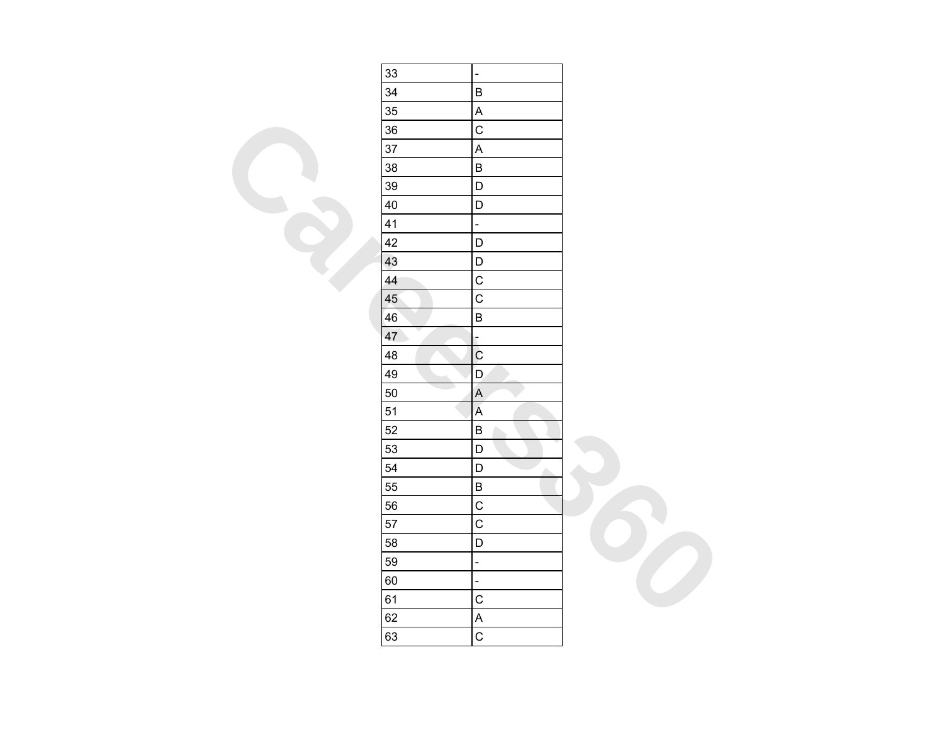| 33                             | $\overline{a}$                                                                                         |  |
|--------------------------------|--------------------------------------------------------------------------------------------------------|--|
| 34                             | $\sf B$                                                                                                |  |
| 35                             | $\mathsf{A}$                                                                                           |  |
| 36                             | $\overline{C}$                                                                                         |  |
| 37                             | $\boldsymbol{\mathsf{A}}$                                                                              |  |
| 38                             | $\sf B$                                                                                                |  |
| 39                             | $\overline{\mathsf{D}}$                                                                                |  |
| 40                             | $\mathsf D$                                                                                            |  |
| 41                             | ÷,                                                                                                     |  |
| 42                             | $\mathsf D$                                                                                            |  |
| 43                             | $\mathsf D$                                                                                            |  |
| 44                             | $\overline{C}$                                                                                         |  |
| 45                             | $\overline{C}$                                                                                         |  |
| 46                             | $\sf B$                                                                                                |  |
| $\overline{\phantom{a}}$<br>47 | $\overline{\mathbf{r}}$                                                                                |  |
| 48                             | $\overline{\mathbf{C}}$                                                                                |  |
| 49                             | $\mathsf{D}$                                                                                           |  |
| 50                             | $\boldsymbol{\mathsf{A}}$                                                                              |  |
| 51                             | $\mathsf{A}% _{\mathsf{A}}^{\prime}=\mathsf{A}_{\mathsf{A}}^{\prime}=\mathsf{A}_{\mathsf{A}}^{\prime}$ |  |
| 52                             | $\sf B$                                                                                                |  |
| 53                             | $\mathsf D$                                                                                            |  |
| 54                             | $\mathsf D$<br>Δ                                                                                       |  |
| 55                             | $\sf B$                                                                                                |  |
| 56                             | $\mathsf C$                                                                                            |  |
| 57                             | $\overline{C}$                                                                                         |  |
| 58                             | $\mathsf D$                                                                                            |  |
| 59                             | $\overline{a}$                                                                                         |  |
| 60                             | $\Box$                                                                                                 |  |
| 61                             | $\mathsf C$                                                                                            |  |
| 62                             | $\overline{\mathsf{A}}$                                                                                |  |
| 63                             | $\overline{C}$                                                                                         |  |
|                                |                                                                                                        |  |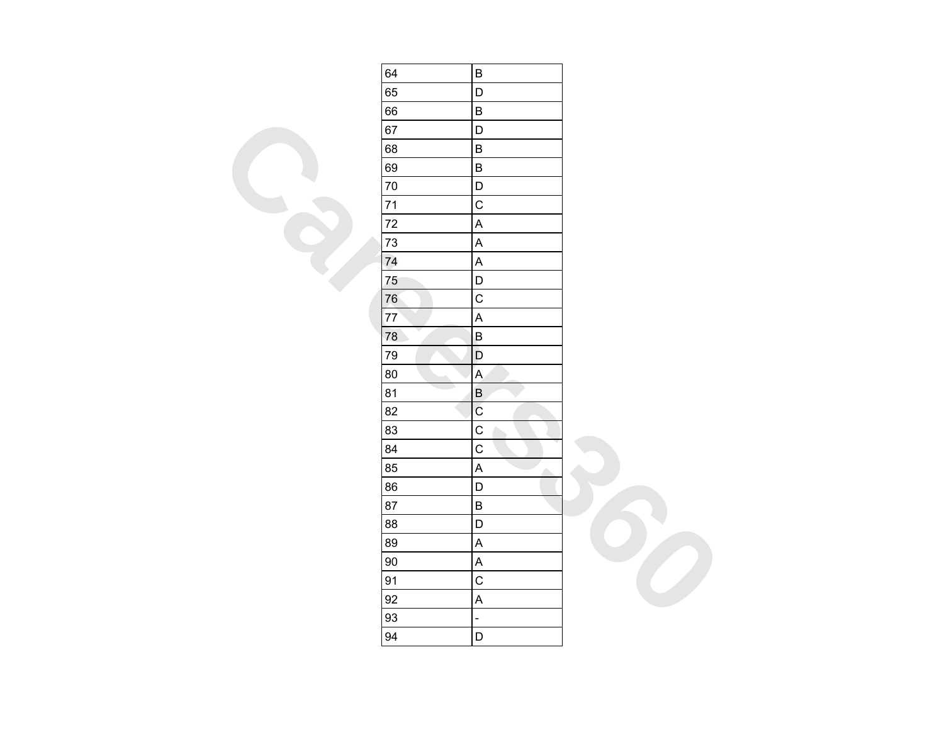| 64 | $\sf B$                         |  |
|----|---------------------------------|--|
| 65 | $\mathsf D$                     |  |
| 66 | $\sf B$                         |  |
| 67 | D                               |  |
| 68 | $\sf B$                         |  |
| 69 | $\sf B$                         |  |
| 70 | $\mathsf D$                     |  |
| 71 | $\mathsf C$                     |  |
| 72 | $\sf A$                         |  |
| 73 | $\boldsymbol{\mathsf{A}}$       |  |
| 74 | $\mathsf A$                     |  |
| 75 | $\mathsf D$                     |  |
| 76 | $\mathsf{C}$                    |  |
| 77 | $\boldsymbol{\mathsf{A}}$       |  |
| 78 | $\sf B$                         |  |
| 79 | $\mathsf D$                     |  |
| 80 | $\overline{A}$                  |  |
| 81 | $\sf B$                         |  |
| 82 | $\rm{C}$                        |  |
| 83 | $\mathsf C$                     |  |
| 84 | $\mathsf C$                     |  |
| 85 | $\boldsymbol{\mathsf{A}}$<br>A. |  |
| 86 | D                               |  |
| 87 | $\sf B$                         |  |
| 88 | $\mathsf D$                     |  |
| 89 | $\sf A$                         |  |
| 90 | $\boldsymbol{\mathsf{A}}$       |  |
| 91 | $\mathsf C$                     |  |
| 92 | $\sf A$                         |  |
| 93 | ÷,                              |  |
| 94 | $\mathsf D$                     |  |